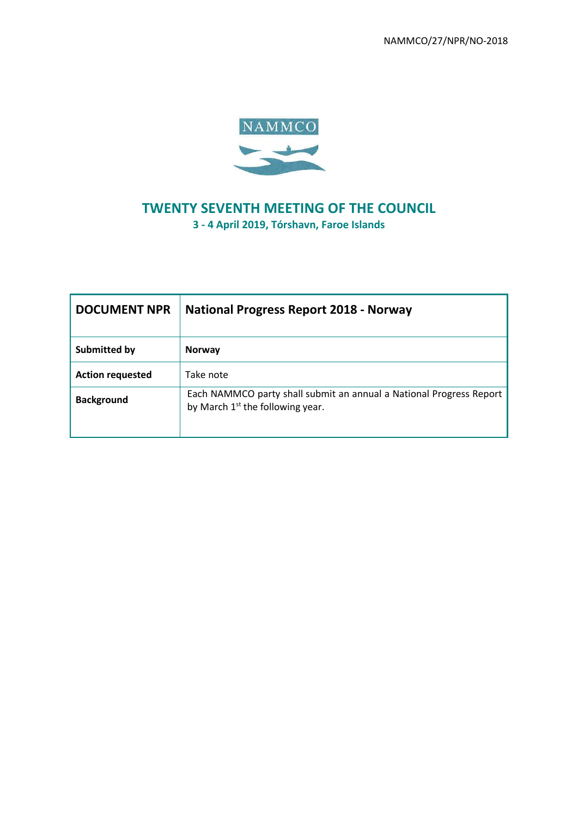NAMMCO/27/NPR/NO-2018



# **TWENTY SEVENTH MEETING OF THE COUNCIL 3 - 4 April 2019, Tórshavn, Faroe Islands**

| <b>DOCUMENT NPR</b>     | <b>National Progress Report 2018 - Norway</b>                                                             |
|-------------------------|-----------------------------------------------------------------------------------------------------------|
| Submitted by            | <b>Norway</b>                                                                                             |
| <b>Action requested</b> | Take note                                                                                                 |
| <b>Background</b>       | Each NAMMCO party shall submit an annual a National Progress Report<br>by March $1st$ the following year. |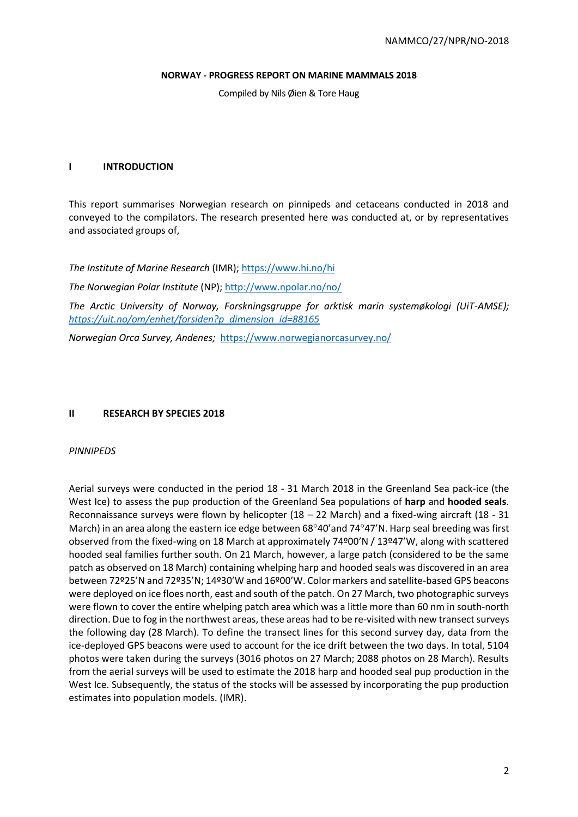#### **NORWAY - PROGRESS REPORT ON MARINE MAMMALS 2018**

Compiled by Nils Øien & Tore Haug

### **I INTRODUCTION**

This report summarises Norwegian research on pinnipeds and cetaceans conducted in 2018 and conveyed to the compilators. The research presented here was conducted at, or by representatives and associated groups of,

*The Institute of Marine Research* (IMR)[; https://www.hi.no/hi](https://www.hi.no/hi)

*The Norwegian Polar Institute* (NP)[; http://www.npolar.no/no/](http://www.npolar.no/no/)

*The Arctic University of Norway, Forskningsgruppe for arktisk marin systemøkologi (UiT-AMSE); [https://uit.no/om/enhet/forsiden?p\\_dimension\\_id=88165](https://uit.no/om/enhet/forsiden?p_dimension_id=88165)*

*Norwegian Orca Survey, Andenes;* <https://www.norwegianorcasurvey.no/>

## **II RESEARCH BY SPECIES 2018**

### *PINNIPEDS*

Aerial surveys were conducted in the period 18 - 31 March 2018 in the Greenland Sea pack-ice (the West Ice) to assess the pup production of the Greenland Sea populations of **harp** and **hooded seals**. Reconnaissance surveys were flown by helicopter (18 – 22 March) and a fixed-wing aircraft (18 - 31 March) in an area along the eastern ice edge between  $68^{\circ}40'$  and  $74^{\circ}47'$ N. Harp seal breeding was first observed from the fixed-wing on 18 March at approximately 74º00'N / 13º47'W, along with scattered hooded seal families further south. On 21 March, however, a large patch (considered to be the same patch as observed on 18 March) containing whelping harp and hooded seals was discovered in an area between 72º25'N and 72º35'N; 14º30'W and 16º00'W. Color markers and satellite-based GPS beacons were deployed on ice floes north, east and south of the patch. On 27 March, two photographic surveys were flown to cover the entire whelping patch area which was a little more than 60 nm in south-north direction. Due to fog in the northwest areas, these areas had to be re-visited with new transect surveys the following day (28 March). To define the transect lines for this second survey day, data from the ice-deployed GPS beacons were used to account for the ice drift between the two days. In total, 5104 photos were taken during the surveys (3016 photos on 27 March; 2088 photos on 28 March). Results from the aerial surveys will be used to estimate the 2018 harp and hooded seal pup production in the West Ice. Subsequently, the status of the stocks will be assessed by incorporating the pup production estimates into population models. (IMR).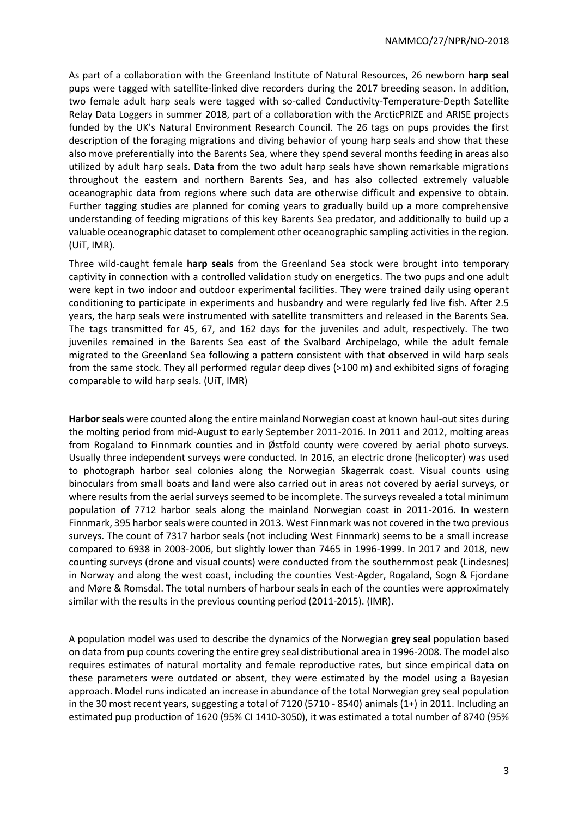As part of a collaboration with the Greenland Institute of Natural Resources, 26 newborn **harp seal** pups were tagged with satellite-linked dive recorders during the 2017 breeding season. In addition, two female adult harp seals were tagged with so-called Conductivity-Temperature-Depth Satellite Relay Data Loggers in summer 2018, part of a collaboration with the ArcticPRIZE and ARISE projects funded by the UK's Natural Environment Research Council. The 26 tags on pups provides the first description of the foraging migrations and diving behavior of young harp seals and show that these also move preferentially into the Barents Sea, where they spend several months feeding in areas also utilized by adult harp seals. Data from the two adult harp seals have shown remarkable migrations throughout the eastern and northern Barents Sea, and has also collected extremely valuable oceanographic data from regions where such data are otherwise difficult and expensive to obtain. Further tagging studies are planned for coming years to gradually build up a more comprehensive understanding of feeding migrations of this key Barents Sea predator, and additionally to build up a valuable oceanographic dataset to complement other oceanographic sampling activities in the region. (UiT, IMR).

Three wild-caught female **harp seals** from the Greenland Sea stock were brought into temporary captivity in connection with a controlled validation study on energetics. The two pups and one adult were kept in two indoor and outdoor experimental facilities. They were trained daily using operant conditioning to participate in experiments and husbandry and were regularly fed live fish. After 2.5 years, the harp seals were instrumented with satellite transmitters and released in the Barents Sea. The tags transmitted for 45, 67, and 162 days for the juveniles and adult, respectively. The two juveniles remained in the Barents Sea east of the Svalbard Archipelago, while the adult female migrated to the Greenland Sea following a pattern consistent with that observed in wild harp seals from the same stock. They all performed regular deep dives (>100 m) and exhibited signs of foraging comparable to wild harp seals. (UiT, IMR)

**Harbor seals** were counted along the entire mainland Norwegian coast at known haul-out sites during the molting period from mid-August to early September 2011-2016. In 2011 and 2012, molting areas from Rogaland to Finnmark counties and in Østfold county were covered by aerial photo surveys. Usually three independent surveys were conducted. In 2016, an electric drone (helicopter) was used to photograph harbor seal colonies along the Norwegian Skagerrak coast. Visual counts using binoculars from small boats and land were also carried out in areas not covered by aerial surveys, or where results from the aerial surveys seemed to be incomplete. The surveys revealed a total minimum population of 7712 harbor seals along the mainland Norwegian coast in 2011-2016. In western Finnmark, 395 harbor seals were counted in 2013. West Finnmark was not covered in the two previous surveys. The count of 7317 harbor seals (not including West Finnmark) seems to be a small increase compared to 6938 in 2003-2006, but slightly lower than 7465 in 1996-1999. In 2017 and 2018, new counting surveys (drone and visual counts) were conducted from the southernmost peak (Lindesnes) in Norway and along the west coast, including the counties Vest-Agder, Rogaland, Sogn & Fjordane and Møre & Romsdal. The total numbers of harbour seals in each of the counties were approximately similar with the results in the previous counting period (2011-2015). (IMR).

A population model was used to describe the dynamics of the Norwegian **grey seal** population based on data from pup counts covering the entire grey seal distributional area in 1996-2008. The model also requires estimates of natural mortality and female reproductive rates, but since empirical data on these parameters were outdated or absent, they were estimated by the model using a Bayesian approach. Model runs indicated an increase in abundance of the total Norwegian grey seal population in the 30 most recent years, suggesting a total of 7120 (5710 - 8540) animals (1+) in 2011. Including an estimated pup production of 1620 (95% CI 1410-3050), it was estimated a total number of 8740 (95%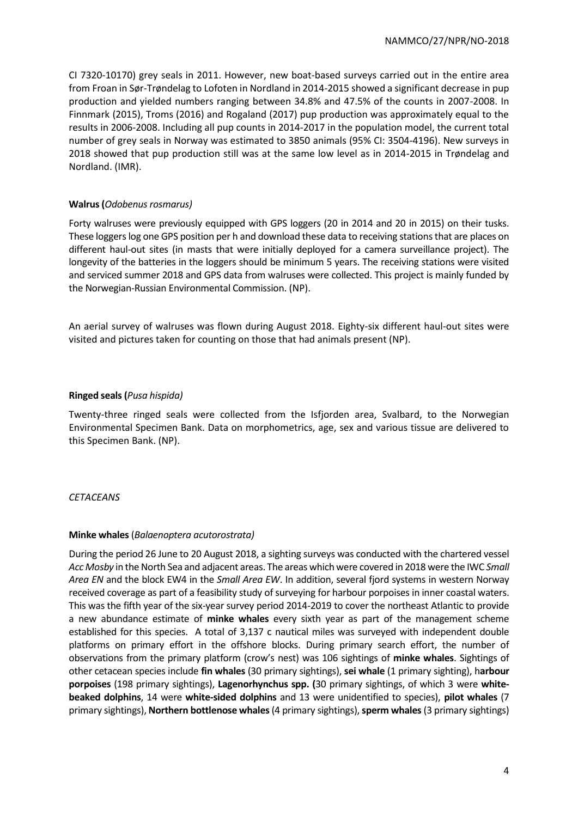CI 7320-10170) grey seals in 2011. However, new boat-based surveys carried out in the entire area from Froan in Sør-Trøndelag to Lofoten in Nordland in 2014-2015 showed a significant decrease in pup production and yielded numbers ranging between 34.8% and 47.5% of the counts in 2007-2008. In Finnmark (2015), Troms (2016) and Rogaland (2017) pup production was approximately equal to the results in 2006-2008. Including all pup counts in 2014-2017 in the population model, the current total number of grey seals in Norway was estimated to 3850 animals (95% CI: 3504-4196). New surveys in 2018 showed that pup production still was at the same low level as in 2014-2015 in Trøndelag and Nordland. (IMR).

# **Walrus (Odobenus rosmarus)**

Forty walruses were previously equipped with GPS loggers (20 in 2014 and 20 in 2015) on their tusks. These loggers log one GPS position per h and download these data to receiving stations that are places on different haul-out sites (in masts that were initially deployed for a camera surveillance project). The longevity of the batteries in the loggers should be minimum 5 years. The receiving stations were visited and serviced summer 2018 and GPS data from walruses were collected. This project is mainly funded by the Norwegian-Russian Environmental Commission. (NP).

An aerial survey of walruses was flown during August 2018. Eighty-six different haul-out sites were visited and pictures taken for counting on those that had animals present (NP).

# **Ringed seals (***Pusa hispida)*

Twenty-three ringed seals were collected from the Isfjorden area, Svalbard, to the Norwegian Environmental Specimen Bank. Data on morphometrics, age, sex and various tissue are delivered to this Specimen Bank. (NP).

# *CETACEANS*

### **Minke whales** (*Balaenoptera acutorostrata)*

During the period 26 June to 20 August 2018, a sighting surveys was conducted with the chartered vessel *Acc Mosby* in the North Sea and adjacent areas. The areas which were covered in 2018 were the IWC *Small Area EN* and the block EW4 in the *Small Area EW*. In addition, several fjord systems in western Norway received coverage as part of a feasibility study of surveying for harbour porpoises in inner coastal waters. This was the fifth year of the six-year survey period 2014-2019 to cover the northeast Atlantic to provide a new abundance estimate of **minke whales** every sixth year as part of the management scheme established for this species. A total of 3,137 c nautical miles was surveyed with independent double platforms on primary effort in the offshore blocks. During primary search effort, the number of observations from the primary platform (crow's nest) was 106 sightings of **minke whales**. Sightings of other cetacean species include **fin whales** (30 primary sightings), **sei whale** (1 primary sighting), h**arbour porpoises** (198 primary sightings), **Lagenorhynchus spp. (**30 primary sightings, of which 3 were **whitebeaked dolphins**, 14 were **white-sided dolphins** and 13 were unidentified to species), **pilot whales** (7 primary sightings), **Northern bottlenose whales**(4 primary sightings), **sperm whales**(3 primary sightings)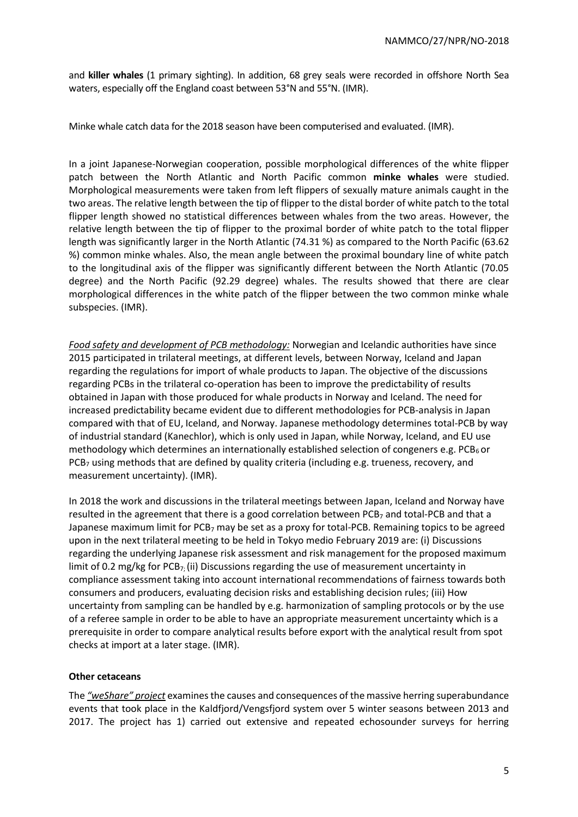and **killer whales** (1 primary sighting). In addition, 68 grey seals were recorded in offshore North Sea waters, especially off the England coast between 53°N and 55°N. (IMR).

Minke whale catch data for the 2018 season have been computerised and evaluated. (IMR).

In a joint Japanese-Norwegian cooperation, possible morphological differences of the white flipper patch between the North Atlantic and North Pacific common **minke whales** were studied. Morphological measurements were taken from left flippers of sexually mature animals caught in the two areas. The relative length between the tip of flipper to the distal border of white patch to the total flipper length showed no statistical differences between whales from the two areas. However, the relative length between the tip of flipper to the proximal border of white patch to the total flipper length was significantly larger in the North Atlantic (74.31 %) as compared to the North Pacific (63.62 %) common minke whales. Also, the mean angle between the proximal boundary line of white patch to the longitudinal axis of the flipper was significantly different between the North Atlantic (70.05 degree) and the North Pacific (92.29 degree) whales. The results showed that there are clear morphological differences in the white patch of the flipper between the two common minke whale subspecies. (IMR).

*Food safety and development of PCB methodology:* Norwegian and Icelandic authorities have since 2015 participated in trilateral meetings, at different levels, between Norway, Iceland and Japan regarding the regulations for import of whale products to Japan. The objective of the discussions regarding PCBs in the trilateral co-operation has been to improve the predictability of results obtained in Japan with those produced for whale products in Norway and Iceland. The need for increased predictability became evident due to different methodologies for PCB-analysis in Japan compared with that of EU, Iceland, and Norway. Japanese methodology determines total-PCB by way of industrial standard (Kanechlor), which is only used in Japan, while Norway, Iceland, and EU use methodology which determines an internationally established selection of congeners e.g. PCB<sub>6</sub> or  $PCB<sub>7</sub>$  using methods that are defined by quality criteria (including e.g. trueness, recovery, and measurement uncertainty). (IMR).

In 2018 the work and discussions in the trilateral meetings between Japan, Iceland and Norway have resulted in the agreement that there is a good correlation between PCB<sub>7</sub> and total-PCB and that a Japanese maximum limit for PCB<sub>7</sub> may be set as a proxy for total-PCB. Remaining topics to be agreed upon in the next trilateral meeting to be held in Tokyo medio February 2019 are: (i) Discussions regarding the underlying Japanese risk assessment and risk management for the proposed maximum limit of 0.2 mg/kg for PCB $_{7}$ ; (ii) Discussions regarding the use of measurement uncertainty in compliance assessment taking into account international recommendations of fairness towards both consumers and producers, evaluating decision risks and establishing decision rules; (iii) How uncertainty from sampling can be handled by e.g. harmonization of sampling protocols or by the use of a referee sample in order to be able to have an appropriate measurement uncertainty which is a prerequisite in order to compare analytical results before export with the analytical result from spot checks at import at a later stage. (IMR).

# **Other cetaceans**

The *"weShare" project* examines the causes and consequences of the massive herring superabundance events that took place in the Kaldfjord/Vengsfjord system over 5 winter seasons between 2013 and 2017. The project has 1) carried out extensive and repeated echosounder surveys for herring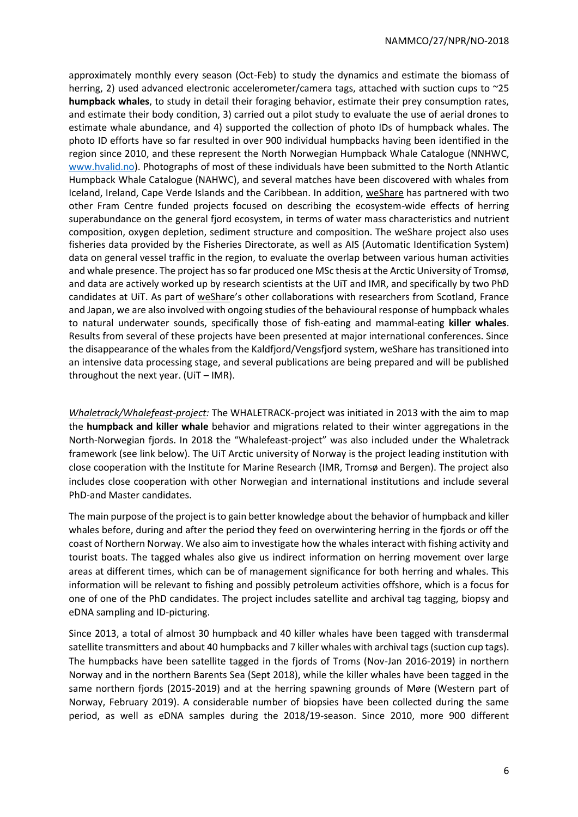approximately monthly every season (Oct-Feb) to study the dynamics and estimate the biomass of herring, 2) used advanced electronic accelerometer/camera tags, attached with suction cups to ~25 **humpback whales**, to study in detail their foraging behavior, estimate their prey consumption rates, and estimate their body condition, 3) carried out a pilot study to evaluate the use of aerial drones to estimate whale abundance, and 4) supported the collection of photo IDs of humpback whales. The photo ID efforts have so far resulted in over 900 individual humpbacks having been identified in the region since 2010, and these represent the North Norwegian Humpback Whale Catalogue (NNHWC, [www.hvalid.no\)](http://www.hvalid.no/). Photographs of most of these individuals have been submitted to the North Atlantic Humpback Whale Catalogue (NAHWC), and several matches have been discovered with whales from Iceland, Ireland, Cape Verde Islands and the Caribbean. In addition, weShare has partnered with two other Fram Centre funded projects focused on describing the ecosystem-wide effects of herring superabundance on the general fjord ecosystem, in terms of water mass characteristics and nutrient composition, oxygen depletion, sediment structure and composition. The weShare project also uses fisheries data provided by the Fisheries Directorate, as well as AIS (Automatic Identification System) data on general vessel traffic in the region, to evaluate the overlap between various human activities and whale presence. The project has so far produced one MSc thesis at the Arctic University of Tromsø, and data are actively worked up by research scientists at the UiT and IMR, and specifically by two PhD candidates at UiT. As part of weShare's other collaborations with researchers from Scotland, France and Japan, we are also involved with ongoing studies of the behavioural response of humpback whales to natural underwater sounds, specifically those of fish-eating and mammal-eating **killer whales**. Results from several of these projects have been presented at major international conferences. Since the disappearance of the whales from the Kaldfjord/Vengsfjord system, weShare has transitioned into an intensive data processing stage, and several publications are being prepared and will be published throughout the next year. (UiT – IMR).

*Whaletrack/Whalefeast-project:* The WHALETRACK-project was initiated in 2013 with the aim to map the **humpback and killer whale** behavior and migrations related to their winter aggregations in the North-Norwegian fjords. In 2018 the "Whalefeast-project" was also included under the Whaletrack framework (see link below). The UiT Arctic university of Norway is the project leading institution with close cooperation with the Institute for Marine Research (IMR, Tromsø and Bergen). The project also includes close cooperation with other Norwegian and international institutions and include several PhD-and Master candidates.

The main purpose of the project is to gain better knowledge about the behavior of humpback and killer whales before, during and after the period they feed on overwintering herring in the fjords or off the coast of Northern Norway. We also aim to investigate how the whales interact with fishing activity and tourist boats. The tagged whales also give us indirect information on herring movement over large areas at different times, which can be of management significance for both herring and whales. This information will be relevant to fishing and possibly petroleum activities offshore, which is a focus for one of one of the PhD candidates. The project includes satellite and archival tag tagging, biopsy and eDNA sampling and ID-picturing.

Since 2013, a total of almost 30 humpback and 40 killer whales have been tagged with transdermal satellite transmitters and about 40 humpbacks and 7 killer whales with archival tags (suction cup tags). The humpbacks have been satellite tagged in the fjords of Troms (Nov-Jan 2016-2019) in northern Norway and in the northern Barents Sea (Sept 2018), while the killer whales have been tagged in the same northern fjords (2015-2019) and at the herring spawning grounds of Møre (Western part of Norway, February 2019). A considerable number of biopsies have been collected during the same period, as well as eDNA samples during the 2018/19-season. Since 2010, more 900 different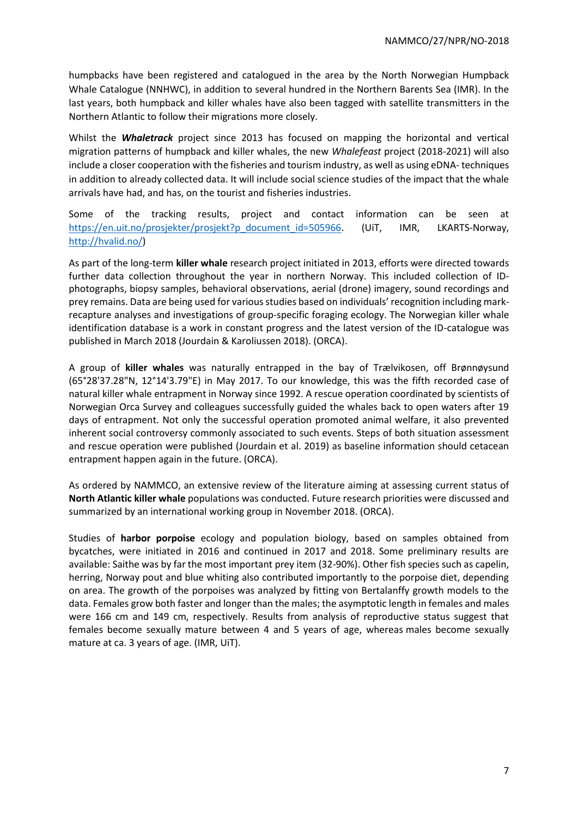humpbacks have been registered and catalogued in the area by the North Norwegian Humpback Whale Catalogue (NNHWC), in addition to several hundred in the Northern Barents Sea (IMR). In the last years, both humpback and killer whales have also been tagged with satellite transmitters in the Northern Atlantic to follow their migrations more closely.

Whilst the *Whaletrack* project since 2013 has focused on mapping the horizontal and vertical migration patterns of humpback and killer whales, the new *Whalefeast* project (2018-2021) will also include a closer cooperation with the fisheries and tourism industry, as well as using eDNA- techniques in addition to already collected data. It will include social science studies of the impact that the whale arrivals have had, and has, on the tourist and fisheries industries.

Some of the tracking results, project and contact information can be seen at [https://en.uit.no/prosjekter/prosjekt?p\\_document\\_id=505966.](https://en.uit.no/prosjekter/prosjekt?p_document_id=505966) (UiT, IMR, LKARTS-Norway, [http://hvalid.no/\)](http://hvalid.no/)

As part of the long-term **killer whale** research project initiated in 2013, efforts were directed towards further data collection throughout the year in northern Norway. This included collection of IDphotographs, biopsy samples, behavioral observations, aerial (drone) imagery, sound recordings and prey remains. Data are being used for various studies based on individuals' recognition including markrecapture analyses and investigations of group-specific foraging ecology. The Norwegian killer whale identification database is a work in constant progress and the latest version of the ID-catalogue was published in March 2018 (Jourdain & Karoliussen 2018). (ORCA).

A group of **killer whales** was naturally entrapped in the bay of Trælvikosen, off Brønnøysund (65°28'37.28"N, 12°14'3.79"E) in May 2017. To our knowledge, this was the fifth recorded case of natural killer whale entrapment in Norway since 1992. A rescue operation coordinated by scientists of Norwegian Orca Survey and colleagues successfully guided the whales back to open waters after 19 days of entrapment. Not only the successful operation promoted animal welfare, it also prevented inherent social controversy commonly associated to such events. Steps of both situation assessment and rescue operation were published (Jourdain et al. 2019) as baseline information should cetacean entrapment happen again in the future. (ORCA).

As ordered by NAMMCO, an extensive review of the literature aiming at assessing current status of **North Atlantic killer whale** populations was conducted. Future research priorities were discussed and summarized by an international working group in November 2018. (ORCA).

Studies of **harbor porpoise** ecology and population biology, based on samples obtained from bycatches, were initiated in 2016 and continued in 2017 and 2018. Some preliminary results are available: Saithe was by far the most important prey item (32-90%). Other fish species such as capelin, herring, Norway pout and blue whiting also contributed importantly to the porpoise diet, depending on area. The growth of the porpoises was analyzed by fitting von Bertalanffy growth models to the data. Females grow both faster and longer than the males; the asymptotic length in females and males were 166 cm and 149 cm, respectively. Results from analysis of reproductive status suggest that females become sexually mature between 4 and 5 years of age, whereas males become sexually mature at ca. 3 years of age. (IMR, UiT).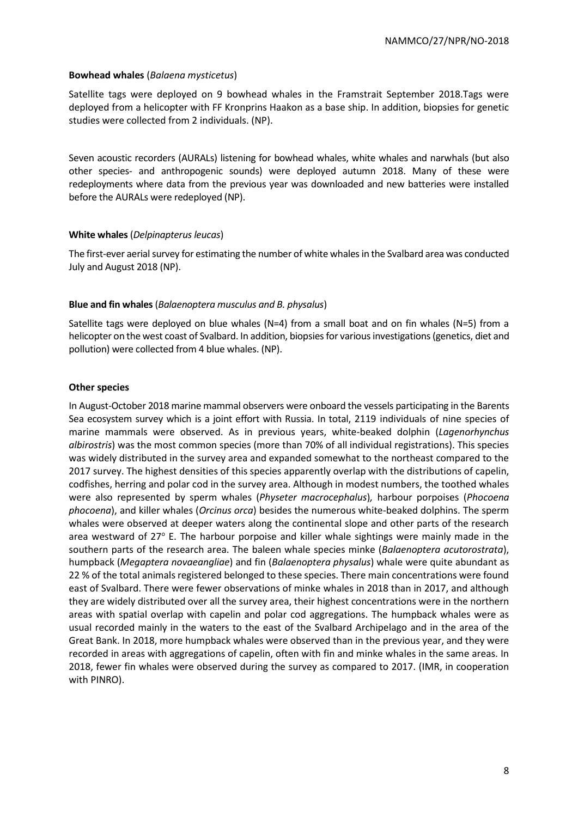#### **Bowhead whales** (*Balaena mysticetus*)

Satellite tags were deployed on 9 bowhead whales in the Framstrait September 2018.Tags were deployed from a helicopter with FF Kronprins Haakon as a base ship. In addition, biopsies for genetic studies were collected from 2 individuals. (NP).

Seven acoustic recorders (AURALs) listening for bowhead whales, white whales and narwhals (but also other species- and anthropogenic sounds) were deployed autumn 2018. Many of these were redeployments where data from the previous year was downloaded and new batteries were installed before the AURALs were redeployed (NP).

### **White whales**(*Delpinapterus leucas*)

The first-ever aerial survey for estimating the number of white whales in the Svalbard area was conducted July and August 2018 (NP).

#### **Blue and fin whales** (*Balaenoptera musculus and B. physalus*)

Satellite tags were deployed on blue whales (N=4) from a small boat and on fin whales (N=5) from a helicopter on the west coast of Svalbard. In addition, biopsies for various investigations (genetics, diet and pollution) were collected from 4 blue whales. (NP).

#### **Other species**

In August-October 2018 marine mammal observers were onboard the vessels participating in the Barents Sea ecosystem survey which is a joint effort with Russia. In total, 2119 individuals of nine species of marine mammals were observed. As in previous years, white-beaked dolphin (*Lagenorhynchus albirostris*) was the most common species (more than 70% of all individual registrations). This species was widely distributed in the survey area and expanded somewhat to the northeast compared to the 2017 survey. The highest densities of this species apparently overlap with the distributions of capelin, codfishes, herring and polar cod in the survey area. Although in modest numbers, the toothed whales were also represented by sperm whales (*Physeter macrocephalus*)*,* harbour porpoises (*Phocoena phocoena*), and killer whales (*Orcinus orca*) besides the numerous white-beaked dolphins. The sperm whales were observed at deeper waters along the continental slope and other parts of the research area westward of  $27^{\circ}$  E. The harbour porpoise and killer whale sightings were mainly made in the southern parts of the research area. The baleen whale species minke (*Balaenoptera acutorostrata*), humpback (*Megaptera novaeangliae*) and fin (*Balaenoptera physalus*) whale were quite abundant as 22 % of the total animals registered belonged to these species. There main concentrations were found east of Svalbard. There were fewer observations of minke whales in 2018 than in 2017, and although they are widely distributed over all the survey area, their highest concentrations were in the northern areas with spatial overlap with capelin and polar cod aggregations. The humpback whales were as usual recorded mainly in the waters to the east of the Svalbard Archipelago and in the area of the Great Bank. In 2018, more humpback whales were observed than in the previous year, and they were recorded in areas with aggregations of capelin, often with fin and minke whales in the same areas. In 2018, fewer fin whales were observed during the survey as compared to 2017. (IMR, in cooperation with PINRO).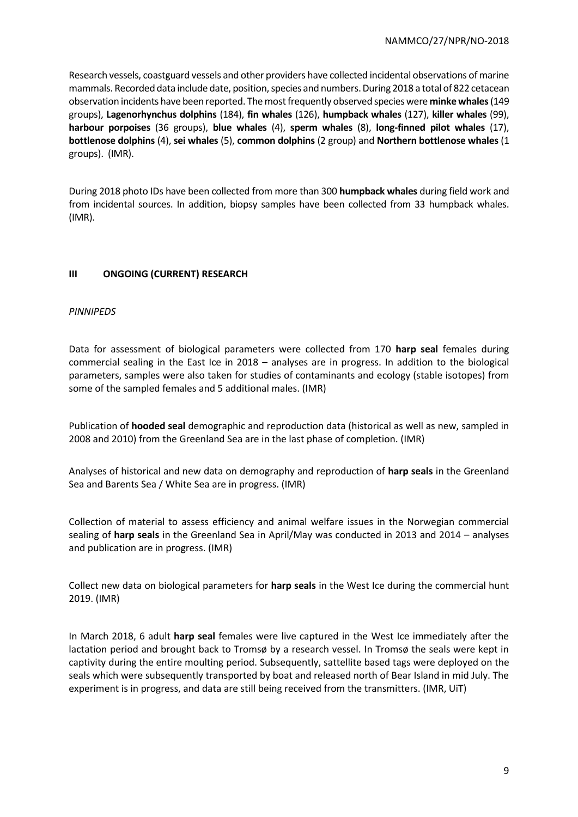Research vessels, coastguard vessels and other providers have collected incidental observations of marine mammals. Recorded data include date, position, species and numbers. During 2018 a total of 822 cetacean observation incidents have been reported. The most frequently observed species were **minke whales**(149 groups), **Lagenorhynchus dolphins** (184), **fin whales** (126), **humpback whales** (127), **killer whales** (99), **harbour porpoises** (36 groups), **blue whales** (4), **sperm whales** (8), **long-finned pilot whales** (17), **bottlenose dolphins** (4), **sei whales** (5), **common dolphins** (2 group) and **Northern bottlenose whales** (1 groups). (IMR).

During 2018 photo IDs have been collected from more than 300 **humpback whales** during field work and from incidental sources. In addition, biopsy samples have been collected from 33 humpback whales. (IMR).

# **III ONGOING (CURRENT) RESEARCH**

### *PINNIPEDS*

Data for assessment of biological parameters were collected from 170 **harp seal** females during commercial sealing in the East Ice in 2018 – analyses are in progress. In addition to the biological parameters, samples were also taken for studies of contaminants and ecology (stable isotopes) from some of the sampled females and 5 additional males. (IMR)

Publication of **hooded seal** demographic and reproduction data (historical as well as new, sampled in 2008 and 2010) from the Greenland Sea are in the last phase of completion. (IMR)

Analyses of historical and new data on demography and reproduction of **harp seals** in the Greenland Sea and Barents Sea / White Sea are in progress. (IMR)

Collection of material to assess efficiency and animal welfare issues in the Norwegian commercial sealing of **harp seals** in the Greenland Sea in April/May was conducted in 2013 and 2014 – analyses and publication are in progress. (IMR)

Collect new data on biological parameters for **harp seals** in the West Ice during the commercial hunt 2019. (IMR)

In March 2018, 6 adult **harp seal** females were live captured in the West Ice immediately after the lactation period and brought back to Tromsø by a research vessel. In Tromsø the seals were kept in captivity during the entire moulting period. Subsequently, sattellite based tags were deployed on the seals which were subsequently transported by boat and released north of Bear Island in mid July. The experiment is in progress, and data are still being received from the transmitters. (IMR, UiT)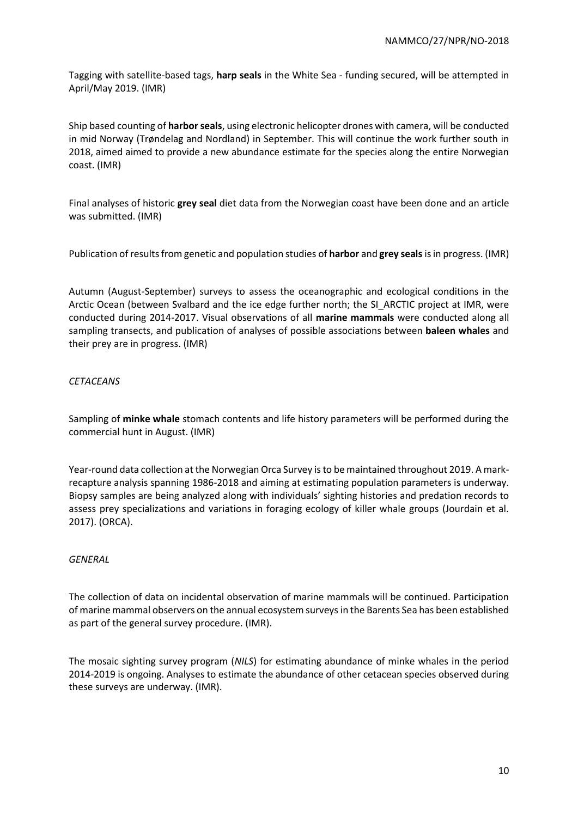Tagging with satellite-based tags, **harp seals** in the White Sea - funding secured, will be attempted in April/May 2019. (IMR)

Ship based counting of **harborseals**, using electronic helicopter drones with camera, will be conducted in mid Norway (Trøndelag and Nordland) in September. This will continue the work further south in 2018, aimed aimed to provide a new abundance estimate for the species along the entire Norwegian coast. (IMR)

Final analyses of historic **grey seal** diet data from the Norwegian coast have been done and an article was submitted. (IMR)

Publication of results from genetic and population studies of **harbor** and **grey seals**is in progress. (IMR)

Autumn (August-September) surveys to assess the oceanographic and ecological conditions in the Arctic Ocean (between Svalbard and the ice edge further north; the SI\_ARCTIC project at IMR, were conducted during 2014-2017. Visual observations of all **marine mammals** were conducted along all sampling transects, and publication of analyses of possible associations between **baleen whales** and their prey are in progress. (IMR)

# *CETACEANS*

Sampling of **minke whale** stomach contents and life history parameters will be performed during the commercial hunt in August. (IMR)

Year-round data collection at the Norwegian Orca Survey is to be maintained throughout 2019. A markrecapture analysis spanning 1986-2018 and aiming at estimating population parameters is underway. Biopsy samples are being analyzed along with individuals' sighting histories and predation records to assess prey specializations and variations in foraging ecology of killer whale groups (Jourdain et al. 2017). (ORCA).

### *GENERAL*

The collection of data on incidental observation of marine mammals will be continued. Participation of marine mammal observers on the annual ecosystem surveys in the Barents Sea has been established as part of the general survey procedure. (IMR).

The mosaic sighting survey program (*NILS*) for estimating abundance of minke whales in the period 2014-2019 is ongoing. Analyses to estimate the abundance of other cetacean species observed during these surveys are underway. (IMR).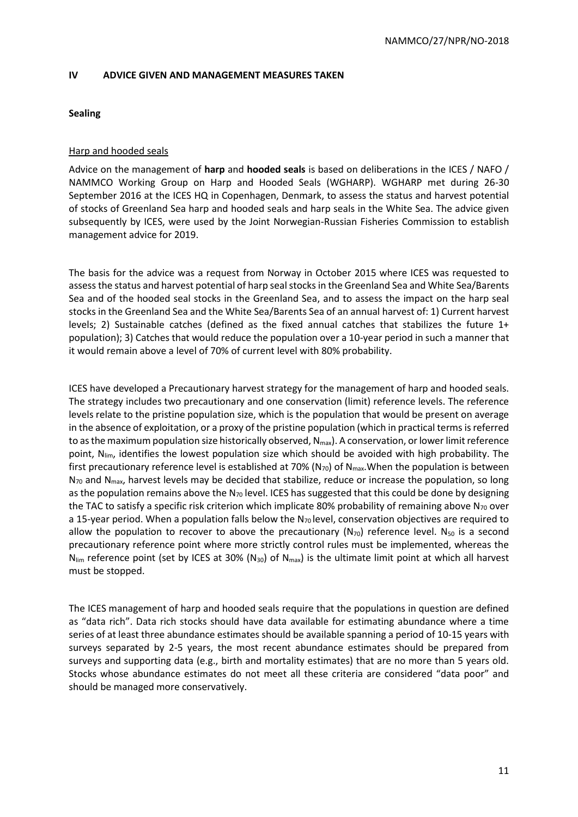#### **IV ADVICE GIVEN AND MANAGEMENT MEASURES TAKEN**

#### **Sealing**

### Harp and hooded seals

Advice on the management of **harp** and **hooded seals** is based on deliberations in the ICES / NAFO / NAMMCO Working Group on Harp and Hooded Seals (WGHARP). WGHARP met during 26-30 September 2016 at the ICES HQ in Copenhagen, Denmark, to assess the status and harvest potential of stocks of Greenland Sea harp and hooded seals and harp seals in the White Sea. The advice given subsequently by ICES, were used by the Joint Norwegian-Russian Fisheries Commission to establish management advice for 2019.

The basis for the advice was a request from Norway in October 2015 where ICES was requested to assess the status and harvest potential of harp seal stocks in the Greenland Sea and White Sea/Barents Sea and of the hooded seal stocks in the Greenland Sea, and to assess the impact on the harp seal stocks in the Greenland Sea and the White Sea/Barents Sea of an annual harvest of: 1) Current harvest levels; 2) Sustainable catches (defined as the fixed annual catches that stabilizes the future 1+ population); 3) Catches that would reduce the population over a 10-year period in such a manner that it would remain above a level of 70% of current level with 80% probability.

ICES have developed a Precautionary harvest strategy for the management of harp and hooded seals. The strategy includes two precautionary and one conservation (limit) reference levels. The reference levels relate to the pristine population size, which is the population that would be present on average in the absence of exploitation, or a proxy of the pristine population (which in practical terms is referred to as the maximum population size historically observed,  $N_{\text{max}}$ ). A conservation, or lower limit reference point,  $N_{\text{lim}}$ , identifies the lowest population size which should be avoided with high probability. The first precautionary reference level is established at 70% (N<sub>70</sub>) of N<sub>max</sub>. When the population is between  $N_{70}$  and  $N_{max}$ , harvest levels may be decided that stabilize, reduce or increase the population, so long as the population remains above the  $N_{70}$  level. ICES has suggested that this could be done by designing the TAC to satisfy a specific risk criterion which implicate 80% probability of remaining above  $N_{70}$  over a 15-year period. When a population falls below the  $N_{70}$  level, conservation objectives are required to allow the population to recover to above the precautionary ( $N_{70}$ ) reference level. N<sub>50</sub> is a second precautionary reference point where more strictly control rules must be implemented, whereas the  $N_{\text{lim}}$  reference point (set by ICES at 30% (N<sub>30</sub>) of N<sub>max</sub>) is the ultimate limit point at which all harvest must be stopped.

The ICES management of harp and hooded seals require that the populations in question are defined as "data rich". Data rich stocks should have data available for estimating abundance where a time series of at least three abundance estimates should be available spanning a period of 10-15 years with surveys separated by 2-5 years, the most recent abundance estimates should be prepared from surveys and supporting data (e.g., birth and mortality estimates) that are no more than 5 years old. Stocks whose abundance estimates do not meet all these criteria are considered "data poor" and should be managed more conservatively.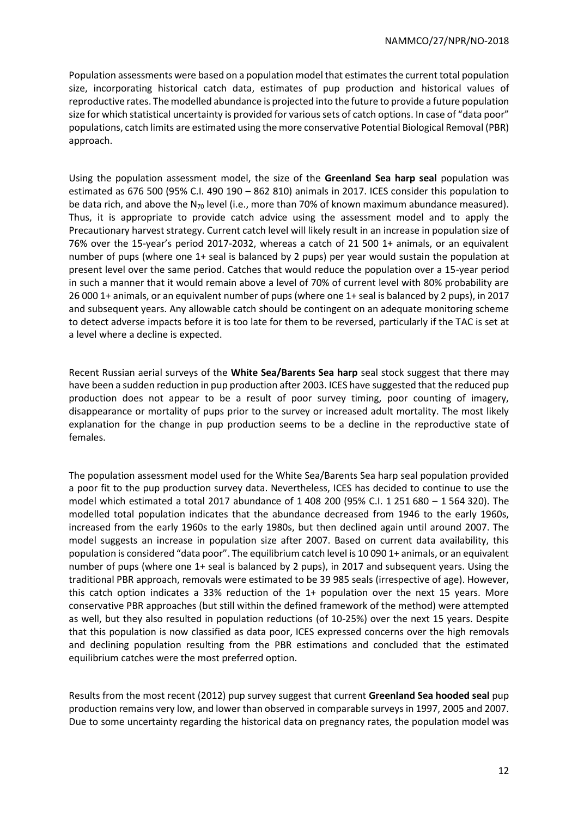Population assessments were based on a population model that estimates the current total population size, incorporating historical catch data, estimates of pup production and historical values of reproductive rates. The modelled abundance is projected into the future to provide a future population size for which statistical uncertainty is provided for various sets of catch options. In case of "data poor" populations, catch limits are estimated using the more conservative Potential Biological Removal (PBR) approach.

Using the population assessment model, the size of the **Greenland Sea harp seal** population was estimated as 676 500 (95% C.I. 490 190 – 862 810) animals in 2017. ICES consider this population to be data rich, and above the N<sub>70</sub> level (i.e., more than 70% of known maximum abundance measured). Thus, it is appropriate to provide catch advice using the assessment model and to apply the Precautionary harvest strategy. Current catch level will likely result in an increase in population size of 76% over the 15-year's period 2017-2032, whereas a catch of 21 500 1+ animals, or an equivalent number of pups (where one 1+ seal is balanced by 2 pups) per year would sustain the population at present level over the same period. Catches that would reduce the population over a 15-year period in such a manner that it would remain above a level of 70% of current level with 80% probability are 26 000 1+ animals, or an equivalent number of pups (where one 1+ seal is balanced by 2 pups), in 2017 and subsequent years. Any allowable catch should be contingent on an adequate monitoring scheme to detect adverse impacts before it is too late for them to be reversed, particularly if the TAC is set at a level where a decline is expected.

Recent Russian aerial surveys of the **White Sea/Barents Sea harp** seal stock suggest that there may have been a sudden reduction in pup production after 2003. ICES have suggested that the reduced pup production does not appear to be a result of poor survey timing, poor counting of imagery, disappearance or mortality of pups prior to the survey or increased adult mortality. The most likely explanation for the change in pup production seems to be a decline in the reproductive state of females.

The population assessment model used for the White Sea/Barents Sea harp seal population provided a poor fit to the pup production survey data. Nevertheless, ICES has decided to continue to use the model which estimated a total 2017 abundance of 1 408 200 (95% C.I. 1 251 680 – 1 564 320). The modelled total population indicates that the abundance decreased from 1946 to the early 1960s, increased from the early 1960s to the early 1980s, but then declined again until around 2007. The model suggests an increase in population size after 2007. Based on current data availability, this population is considered "data poor". The equilibrium catch level is 10 090 1+ animals, or an equivalent number of pups (where one 1+ seal is balanced by 2 pups), in 2017 and subsequent years. Using the traditional PBR approach, removals were estimated to be 39 985 seals (irrespective of age). However, this catch option indicates a 33% reduction of the 1+ population over the next 15 years. More conservative PBR approaches (but still within the defined framework of the method) were attempted as well, but they also resulted in population reductions (of 10-25%) over the next 15 years. Despite that this population is now classified as data poor, ICES expressed concerns over the high removals and declining population resulting from the PBR estimations and concluded that the estimated equilibrium catches were the most preferred option.

Results from the most recent (2012) pup survey suggest that current **Greenland Sea hooded seal** pup production remains very low, and lower than observed in comparable surveys in 1997, 2005 and 2007. Due to some uncertainty regarding the historical data on pregnancy rates, the population model was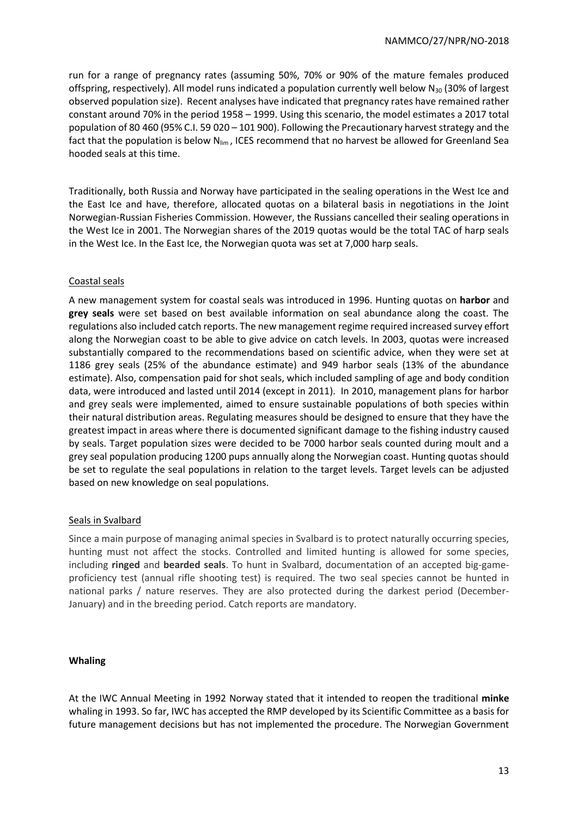run for a range of pregnancy rates (assuming 50%, 70% or 90% of the mature females produced offspring, respectively). All model runs indicated a population currently well below  $N_{30}$  (30% of largest observed population size). Recent analyses have indicated that pregnancy rates have remained rather constant around 70% in the period 1958 – 1999. Using this scenario, the model estimates a 2017 total population of 80 460 (95% C.I. 59 020 – 101 900). Following the Precautionary harvest strategy and the fact that the population is below  $N_{\text{lim}}$ , ICES recommend that no harvest be allowed for Greenland Sea hooded seals at this time.

Traditionally, both Russia and Norway have participated in the sealing operations in the West Ice and the East Ice and have, therefore, allocated quotas on a bilateral basis in negotiations in the Joint Norwegian-Russian Fisheries Commission. However, the Russians cancelled their sealing operations in the West Ice in 2001. The Norwegian shares of the 2019 quotas would be the total TAC of harp seals in the West Ice. In the East Ice, the Norwegian quota was set at 7,000 harp seals.

# Coastal seals

A new management system for coastal seals was introduced in 1996. Hunting quotas on **harbor** and **grey seals** were set based on best available information on seal abundance along the coast. The regulations also included catch reports. The new management regime required increased survey effort along the Norwegian coast to be able to give advice on catch levels. In 2003, quotas were increased substantially compared to the recommendations based on scientific advice, when they were set at 1186 grey seals (25% of the abundance estimate) and 949 harbor seals (13% of the abundance estimate). Also, compensation paid for shot seals, which included sampling of age and body condition data, were introduced and lasted until 2014 (except in 2011). In 2010, management plans for harbor and grey seals were implemented, aimed to ensure sustainable populations of both species within their natural distribution areas. Regulating measures should be designed to ensure that they have the greatest impact in areas where there is documented significant damage to the fishing industry caused by seals. Target population sizes were decided to be 7000 harbor seals counted during moult and a grey seal population producing 1200 pups annually along the Norwegian coast. Hunting quotas should be set to regulate the seal populations in relation to the target levels. Target levels can be adjusted based on new knowledge on seal populations.

### Seals in Svalbard

Since a main purpose of managing animal species in Svalbard is to protect naturally occurring species, hunting must not affect the stocks. Controlled and limited hunting is allowed for some species, including **ringed** and **bearded seals**. To hunt in Svalbard, documentation of an accepted big-gameproficiency test (annual rifle shooting test) is required. The two seal species cannot be hunted in national parks / nature reserves. They are also protected during the darkest period (December-January) and in the breeding period. Catch reports are mandatory.

### **Whaling**

At the IWC Annual Meeting in 1992 Norway stated that it intended to reopen the traditional **minke** whaling in 1993. So far, IWC has accepted the RMP developed by its Scientific Committee as a basis for future management decisions but has not implemented the procedure. The Norwegian Government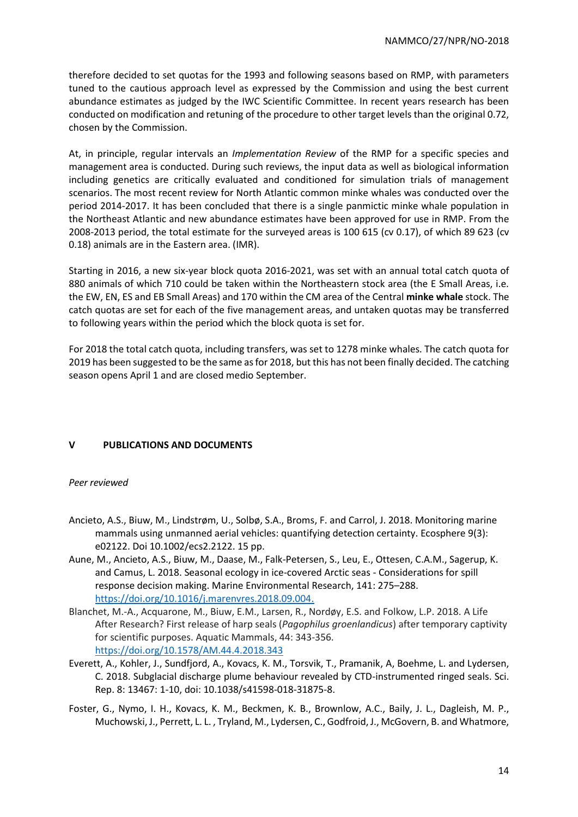therefore decided to set quotas for the 1993 and following seasons based on RMP, with parameters tuned to the cautious approach level as expressed by the Commission and using the best current abundance estimates as judged by the IWC Scientific Committee. In recent years research has been conducted on modification and retuning of the procedure to other target levels than the original 0.72, chosen by the Commission.

At, in principle, regular intervals an *Implementation Review* of the RMP for a specific species and management area is conducted. During such reviews, the input data as well as biological information including genetics are critically evaluated and conditioned for simulation trials of management scenarios. The most recent review for North Atlantic common minke whales was conducted over the period 2014-2017. It has been concluded that there is a single panmictic minke whale population in the Northeast Atlantic and new abundance estimates have been approved for use in RMP. From the 2008-2013 period, the total estimate for the surveyed areas is 100 615 (cv 0.17), of which 89 623 (cv 0.18) animals are in the Eastern area. (IMR).

Starting in 2016, a new six-year block quota 2016-2021, was set with an annual total catch quota of 880 animals of which 710 could be taken within the Northeastern stock area (the E Small Areas, i.e. the EW, EN, ES and EB Small Areas) and 170 within the CM area of the Central **minke whale** stock. The catch quotas are set for each of the five management areas, and untaken quotas may be transferred to following years within the period which the block quota is set for.

For 2018 the total catch quota, including transfers, was set to 1278 minke whales. The catch quota for 2019 has been suggested to be the same as for 2018, but this has not been finally decided. The catching season opens April 1 and are closed medio September.

# **V PUBLICATIONS AND DOCUMENTS**

### *Peer reviewed*

- Ancieto, A.S., Biuw, M., Lindstrøm, U., Solbø, S.A., Broms, F. and Carrol, J. 2018. Monitoring marine mammals using unmanned aerial vehicles: quantifying detection certainty. Ecosphere 9(3): e02122. Doi 10.1002/ecs2.2122. 15 pp.
- Aune, M., Ancieto, A.S., Biuw, M., Daase, M., Falk-Petersen, S., Leu, E., Ottesen, C.A.M., Sagerup, K. and Camus, L. 2018. Seasonal ecology in ice-covered Arctic seas - Considerations for spill response decision making. Marine Environmental Research, 141: 275–288. [https://doi.org/10.1016/j.marenvres.2018.09.004.](https://doi.org/10.1016/j.marenvres.2018.09.004)
- Blanchet, M.-A., Acquarone, M., Biuw, E.M., Larsen, R., Nordøy, E.S. and Folkow, L.P. 2018. A Life After Research? First release of harp seals (*Pagophilus groenlandicus*) after temporary captivity for scientific purposes. Aquatic Mammals, 44: 343-356. <https://doi.org/10.1578/AM.44.4.2018.343>
- Everett, A., Kohler, J., Sundfjord, A., Kovacs, K. M., Torsvik, T., Pramanik, A, Boehme, L. and Lydersen, C. 2018. Subglacial discharge plume behaviour revealed by CTD-instrumented ringed seals. Sci. Rep. 8: 13467: 1-10, doi: 10.1038/s41598-018-31875-8.
- Foster, G., Nymo, I. H., Kovacs, K. M., Beckmen, K. B., Brownlow, A.C., Baily, J. L., Dagleish, M. P., Muchowski, J., Perrett, L. L. , Tryland, M., Lydersen, C., Godfroid, J., McGovern, B. and Whatmore,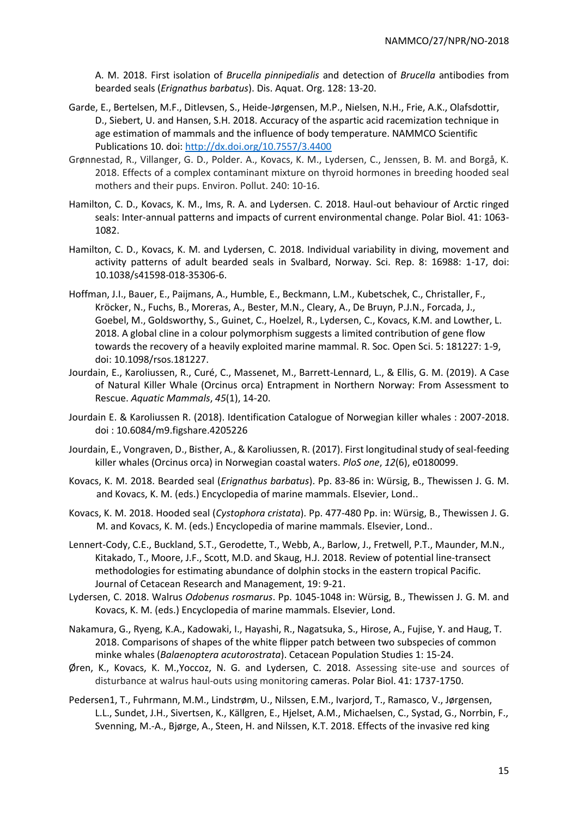A. M. 2018. First isolation of *Brucella pinnipedialis* and detection of *Brucella* antibodies from bearded seals (*Erignathus barbatus*). Dis. Aquat. Org. 128: 13-20.

- Garde, E., Bertelsen, M.F., Ditlevsen, S., Heide-Jørgensen, M.P., Nielsen, N.H., Frie, A.K., Olafsdottir, D., Siebert, U. and Hansen, S.H. 2018. Accuracy of the aspartic acid racemization technique in age estimation of mammals and the influence of body temperature. NAMMCO Scientific Publications 10. doi[: http://dx.doi.org/10.7557/3.4400](http://dx.doi.org/10.7557/3.4400)
- Grønnestad, R., Villanger, G. D., Polder. A., Kovacs, K. M., Lydersen, C., Jenssen, B. M. and Borgå, K. 2018. Effects of a complex contaminant mixture on thyroid hormones in breeding hooded seal mothers and their pups. Environ. Pollut. 240: 10-16.
- Hamilton, C. D., Kovacs, K. M., Ims, R. A. and Lydersen. C. 2018. Haul-out behaviour of Arctic ringed seals: Inter-annual patterns and impacts of current environmental change. Polar Biol. 41: 1063- 1082.
- Hamilton, C. D., Kovacs, K. M. and Lydersen, C. 2018. Individual variability in diving, movement and activity patterns of adult bearded seals in Svalbard, Norway. Sci. Rep. 8: 16988: 1-17, doi: 10.1038/s41598-018-35306-6.
- Hoffman, J.I., Bauer, E., Paijmans, A., Humble, E., Beckmann, L.M., Kubetschek, C., Christaller, F., Kröcker, N., Fuchs, B., Moreras, A., Bester, M.N., Cleary, A., De Bruyn, P.J.N., Forcada, J., Goebel, M., Goldsworthy, S., Guinet, C., Hoelzel, R., Lydersen, C., Kovacs, K.M. and Lowther, L. 2018. A global cline in a colour polymorphism suggests a limited contribution of gene flow towards the recovery of a heavily exploited marine mammal. R. Soc. Open Sci. 5: 181227: 1-9, doi: 10.1098/rsos.181227.
- Jourdain, E., Karoliussen, R., Curé, C., Massenet, M., Barrett-Lennard, L., & Ellis, G. M. (2019). A Case of Natural Killer Whale (Orcinus orca) Entrapment in Northern Norway: From Assessment to Rescue. *Aquatic Mammals*, *45*(1), 14-20.
- Jourdain E. & Karoliussen R. (2018). Identification Catalogue of Norwegian killer whales : 2007-2018. doi : 10.6084/m9.figshare.4205226
- Jourdain, E., Vongraven, D., Bisther, A., & Karoliussen, R. (2017). First longitudinal study of seal-feeding killer whales (Orcinus orca) in Norwegian coastal waters. *PloS one*, *12*(6), e0180099.
- Kovacs, K. M. 2018. Bearded seal (*Erignathus barbatus*). Pp. 83-86 in: Würsig, B., Thewissen J. G. M. and Kovacs, K. M. (eds.) Encyclopedia of marine mammals. Elsevier, Lond..
- Kovacs, K. M. 2018. Hooded seal (*Cystophora cristata*). Pp. 477-480 Pp. in: Würsig, B., Thewissen J. G. M. and Kovacs, K. M. (eds.) Encyclopedia of marine mammals. Elsevier, Lond..
- Lennert-Cody, C.E., Buckland, S.T., Gerodette, T., Webb, A., Barlow, J., Fretwell, P.T., Maunder, M.N., Kitakado, T., Moore, J.F., Scott, M.D. and Skaug, H.J. 2018. Review of potential line-transect methodologies for estimating abundance of dolphin stocks in the eastern tropical Pacific. Journal of Cetacean Research and Management, 19: 9-21.
- Lydersen, C. 2018. Walrus *Odobenus rosmarus*. Pp. 1045-1048 in: Würsig, B., Thewissen J. G. M. and Kovacs, K. M. (eds.) Encyclopedia of marine mammals. Elsevier, Lond.
- Nakamura, G., Ryeng, K.A., Kadowaki, I., Hayashi, R., Nagatsuka, S., Hirose, A., Fujise, Y. and Haug, T. 2018. Comparisons of shapes of the white flipper patch between two subspecies of common minke whales (*Balaenoptera acutorostrata*). Cetacean Population Studies 1: 15-24.
- Øren, K., Kovacs, K. M.,Yoccoz, N. G. and Lydersen, C. 2018. Assessing site-use and sources of disturbance at walrus haul-outs using monitoring cameras. Polar Biol. 41: 1737-1750.
- Pedersen1, T., Fuhrmann, M.M., Lindstrøm, U., Nilssen, E.M., Ivarjord, T., Ramasco, V., Jørgensen, L.L., Sundet, J.H., Sivertsen, K., Källgren, E., Hjelset, A.M., Michaelsen, C., Systad, G., Norrbin, F., Svenning, M.-A., Bjørge, A., Steen, H. and Nilssen, K.T. 2018. Effects of the invasive red king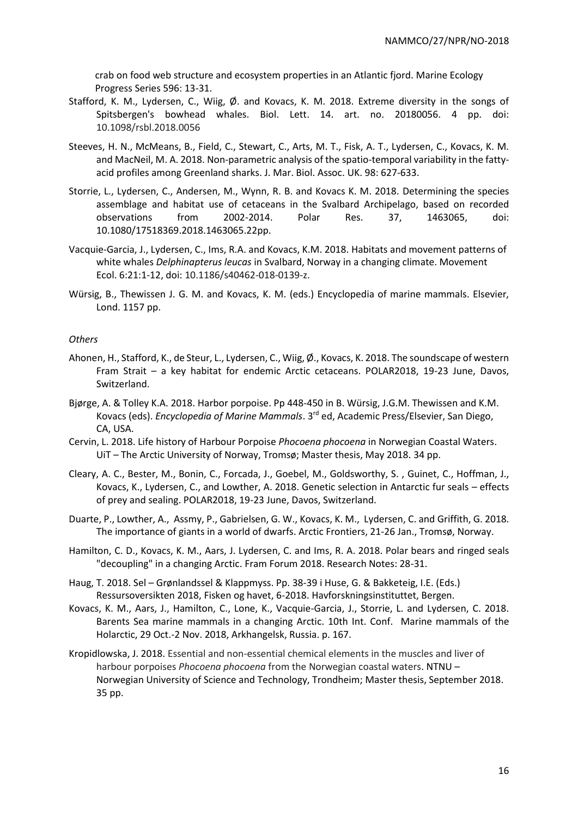crab on food web structure and ecosystem properties in an Atlantic fjord. Marine Ecology Progress Series 596: 13-31.

- Stafford, K. M., Lydersen, C., Wiig, Ø. and Kovacs, K. M. 2018. Extreme diversity in the songs of Spitsbergen's bowhead whales. Biol. Lett. 14. art. no. 20180056. 4 pp. doi: 10.1098/rsbl.2018.0056
- Steeves, H. N., McMeans, B., Field, C., Stewart, C., Arts, M. T., Fisk, A. T., Lydersen, C., Kovacs, K. M. and MacNeil, M. A. 2018[. Non-parametric analysis of the spatio-temporal variability in the fatty](https://www.cambridge.org/core/product/A7D6D77028AC7CAB9E23FC36BF1E461A)[acid profiles among Greenland sharks. J. Mar. Biol. Assoc. UK. 98: 627-633.](https://www.cambridge.org/core/product/A7D6D77028AC7CAB9E23FC36BF1E461A)
- Storrie, L., Lydersen, C., Andersen, M., Wynn, R. B. and Kovacs K. M. 2018. Determining the species assemblage and habitat use of cetaceans in the Svalbard Archipelago, based on recorded observations from 2002-2014. Polar Res. 37, 1463065, doi: 10.1080/17518369.2018.1463065.22pp.
- Vacquie-Garcia, J., Lydersen, C., Ims, R.A. and Kovacs, K.M. 2018. Habitats and movement patterns of white whales *Delphinapterus leucas* in Svalbard, Norway in a changing climate. Movement Ecol. 6:21:1-12, doi: 10.1186/s40462-018-0139-z.
- Würsig, B., Thewissen J. G. M. and Kovacs, K. M. (eds.) Encyclopedia of marine mammals. Elsevier, Lond. 1157 pp.

#### *Others*

- Ahonen, H., Stafford, K., de Steur, L., Lydersen, C., Wiig, Ø., Kovacs, K. 2018. The soundscape of western Fram Strait – a key habitat for endemic Arctic cetaceans. POLAR2018, 19-23 June, Davos, Switzerland.
- Bjørge, A. & Tolley K.A. 2018. Harbor porpoise. Pp 448-450 in B. Würsig, J.G.M. Thewissen and K.M. Kovacs (eds). *Encyclopedia of Marine Mammals*. 3rd ed, Academic Press/Elsevier, San Diego, CA, USA.
- Cervin, L. 2018. Life history of Harbour Porpoise *Phocoena phocoena* in Norwegian Coastal Waters. UiT – The Arctic University of Norway, Tromsø; Master thesis, May 2018. 34 pp.
- Cleary, A. C., Bester, M., Bonin, C., Forcada, J., Goebel, M., Goldsworthy, S. , Guinet, C., Hoffman, J., Kovacs, K., Lydersen, C., and Lowther, A. 2018. Genetic selection in Antarctic fur seals – effects of prey and sealing. POLAR2018, 19-23 June, Davos, Switzerland.
- Duarte, P., Lowther, A., Assmy, P., Gabrielsen, G. W., Kovacs, K. M., Lydersen, C. and Griffith, G. 2018. The importance of giants in a world of dwarfs. Arctic Frontiers, 21-26 Jan., Tromsø, Norway.
- Hamilton, C. D., Kovacs, K. M., Aars, J. Lydersen, C. and Ims, R. A. 2018. Polar bears and ringed seals "decoupling" in a changing Arctic. Fram Forum 2018. Research Notes: 28-31.
- Haug, T. 2018. Sel Grønlandssel & Klappmyss. Pp. 38-39 i Huse, G. & Bakketeig, I.E. (Eds.) Ressursoversikten 2018, Fisken og havet, 6-2018. Havforskningsinstituttet, Bergen.
- Kovacs, K. M., Aars, J., Hamilton, C., Lone, K., Vacquie-Garcia, J., Storrie, L. and Lydersen, C. 2018. Barents Sea marine mammals in a changing Arctic. 10th Int. Conf. Marine mammals of the Holarctic, 29 Oct.-2 Nov. 2018, Arkhangelsk, Russia. p. 167.
- Kropidlowska, J. 2018. Essential and non-essential chemical elements in the muscles and liver of harbour porpoises *Phocoena phocoena* from the Norwegian coastal waters. NTNU – Norwegian University of Science and Technology, Trondheim; Master thesis, September 2018. 35 pp.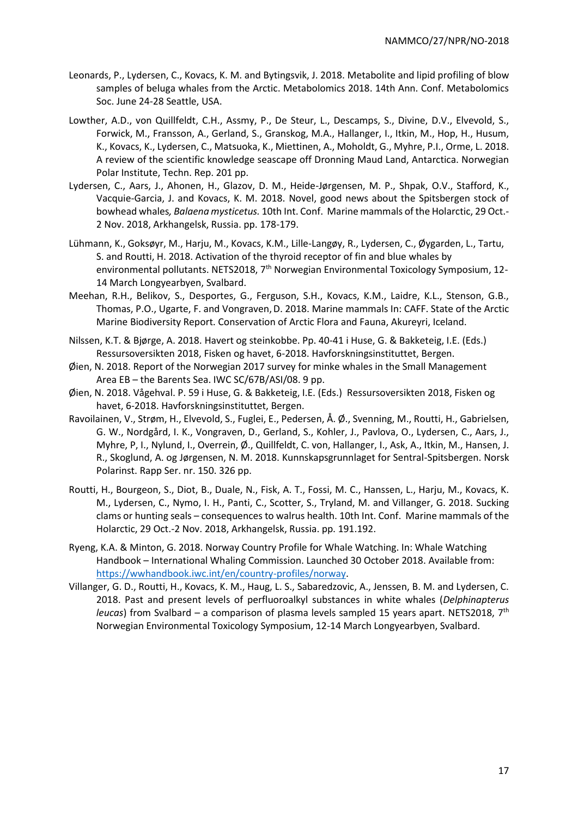- Leonards, P., Lydersen, C., Kovacs, K. M. and Bytingsvik, J. 2018. Metabolite and lipid profiling of blow samples of beluga whales from the Arctic. Metabolomics 2018. 14th Ann. Conf. Metabolomics Soc. June 24-28 Seattle, USA.
- Lowther, A.D., von Quillfeldt, C.H., Assmy, P., De Steur, L., Descamps, S., Divine, D.V., Elvevold, S., Forwick, M., Fransson, A., Gerland, S., Granskog, M.A., Hallanger, I., Itkin, M., Hop, H., Husum, K., Kovacs, K., Lydersen, C., Matsuoka, K., Miettinen, A., Moholdt, G., Myhre, P.I., Orme, L. 2018. A review of the scientific knowledge seascape off Dronning Maud Land, Antarctica. Norwegian Polar Institute, Techn. Rep. 201 pp.
- Lydersen, C., Aars, J., Ahonen, H., Glazov, D. M., Heide-Jørgensen, M. P., Shpak, O.V., Stafford, K., Vacquie-Garcia, J. and Kovacs, K. M. 2018. Novel, good news about the Spitsbergen stock of bowhead whales*, Balaena mysticetus.* 10th Int. Conf. Marine mammals of the Holarctic, 29 Oct.- 2 Nov. 2018, Arkhangelsk, Russia. pp. 178-179.
- Lühmann, K., Goksøyr, M., Harju, M., Kovacs, K.M., Lille-Langøy, R., Lydersen, C., Øygarden, L., Tartu, S. and Routti, H. 2018. Activation of the thyroid receptor of fin and blue whales by environmental pollutants. NETS2018, 7<sup>th</sup> Norwegian Environmental Toxicology Symposium, 12-14 March Longyearbyen, Svalbard.
- Meehan, R.H., Belikov, S., Desportes, G., Ferguson, S.H., Kovacs, K.M., Laidre, K.L., Stenson, G.B., Thomas, P.O., Ugarte, F. and Vongraven,D. 2018. Marine mammals In: CAFF. State of the Arctic Marine Biodiversity Report. Conservation of Arctic Flora and Fauna, Akureyri, Iceland.
- Nilssen, K.T. & Bjørge, A. 2018. Havert og steinkobbe. Pp. 40-41 i Huse, G. & Bakketeig, I.E. (Eds.) Ressursoversikten 2018, Fisken og havet, 6-2018. Havforskningsinstituttet, Bergen.
- Øien, N. 2018. Report of the Norwegian 2017 survey for minke whales in the Small Management Area EB – the Barents Sea. IWC SC/67B/ASI/08. 9 pp.
- Øien, N. 2018. Vågehval. P. 59 i Huse, G. & Bakketeig, I.E. (Eds.) Ressursoversikten 2018, Fisken og havet, 6-2018. Havforskningsinstituttet, Bergen.
- Ravoilainen, V., Strøm, H., Elvevold, S., Fuglei, E., Pedersen, Å. Ø., Svenning, M., Routti, H., Gabrielsen, G. W., Nordgård, I. K., Vongraven, D., Gerland, S., Kohler, J., Pavlova, O., Lydersen, C., Aars, J., Myhre, P, I., Nylund, I., Overrein, Ø., Quillfeldt, C. von, Hallanger, I., Ask, A., Itkin, M., Hansen, J. R., Skoglund, A. og Jørgensen, N. M. 2018. Kunnskapsgrunnlaget for Sentral-Spitsbergen. Norsk Polarinst. Rapp Ser. nr. 150. 326 pp.
- Routti, H., Bourgeon, S., Diot, B., Duale, N., Fisk, A. T., Fossi, M. C., Hanssen, L., Harju, M., Kovacs, K. M., Lydersen, C., Nymo, I. H., Panti, C., Scotter, S., Tryland, M. and Villanger, G. 2018. Sucking clams or hunting seals – consequences to walrus health. 10th Int. Conf. Marine mammals of the Holarctic, 29 Oct.-2 Nov. 2018, Arkhangelsk, Russia. pp. 191.192.
- Ryeng, K.A. & Minton, G. 2018. Norway Country Profile for Whale Watching. In: Whale Watching Handbook – International Whaling Commission. Launched 30 October 2018. Available from: [https://wwhandbook.iwc.int/en/country-profiles/norway.](https://wwhandbook.iwc.int/en/country-profiles/norway)
- Villanger, G. D., Routti, H., Kovacs, K. M., Haug, L. S., Sabaredzovic, A., Jenssen, B. M. and Lydersen, C. 2018. Past and present levels of perfluoroalkyl substances in white whales (*Delphinapterus leucas*) from Svalbard – a comparison of plasma levels sampled 15 years apart. NETS2018, 7th Norwegian Environmental Toxicology Symposium, 12-14 March Longyearbyen, Svalbard.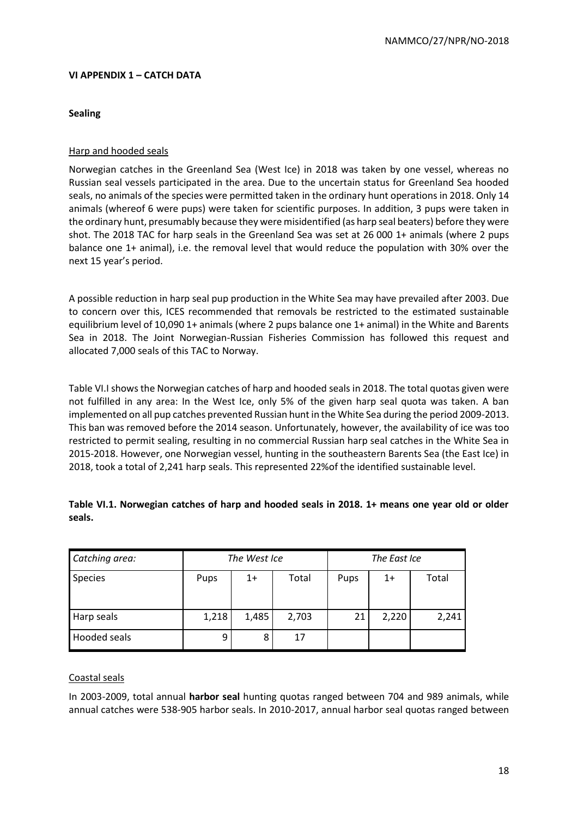# **VI APPENDIX 1 – CATCH DATA**

## **Sealing**

# Harp and hooded seals

Norwegian catches in the Greenland Sea (West Ice) in 2018 was taken by one vessel, whereas no Russian seal vessels participated in the area. Due to the uncertain status for Greenland Sea hooded seals, no animals of the species were permitted taken in the ordinary hunt operations in 2018. Only 14 animals (whereof 6 were pups) were taken for scientific purposes. In addition, 3 pups were taken in the ordinary hunt, presumably because they were misidentified (as harp seal beaters) before they were shot. The 2018 TAC for harp seals in the Greenland Sea was set at 26 000 1+ animals (where 2 pups balance one 1+ animal), i.e. the removal level that would reduce the population with 30% over the next 15 year's period.

A possible reduction in harp seal pup production in the White Sea may have prevailed after 2003. Due to concern over this, ICES recommended that removals be restricted to the estimated sustainable equilibrium level of 10,090 1+ animals (where 2 pups balance one 1+ animal) in the White and Barents Sea in 2018. The Joint Norwegian-Russian Fisheries Commission has followed this request and allocated 7,000 seals of this TAC to Norway.

Table VI.I shows the Norwegian catches of harp and hooded seals in 2018. The total quotas given were not fulfilled in any area: In the West Ice, only 5% of the given harp seal quota was taken. A ban implemented on all pup catches prevented Russian hunt in the White Sea during the period 2009-2013. This ban was removed before the 2014 season. Unfortunately, however, the availability of ice was too restricted to permit sealing, resulting in no commercial Russian harp seal catches in the White Sea in 2015-2018. However, one Norwegian vessel, hunting in the southeastern Barents Sea (the East Ice) in 2018, took a total of 2,241 harp seals. This represented 22%of the identified sustainable level.

| Catching area: |       | The West Ice |       | The East Ice |       |       |  |
|----------------|-------|--------------|-------|--------------|-------|-------|--|
| <b>Species</b> | Pups  | $1+$         | Total | Pups         | $1+$  | Total |  |
| Harp seals     | 1,218 | 1,485        | 2,703 | 21           | 2,220 | 2,241 |  |
| Hooded seals   | 9     | 8            | 17    |              |       |       |  |

**Table VI.1. Norwegian catches of harp and hooded seals in 2018. 1+ means one year old or older seals.**

### Coastal seals

In 2003-2009, total annual **harbor seal** hunting quotas ranged between 704 and 989 animals, while annual catches were 538-905 harbor seals. In 2010-2017, annual harbor seal quotas ranged between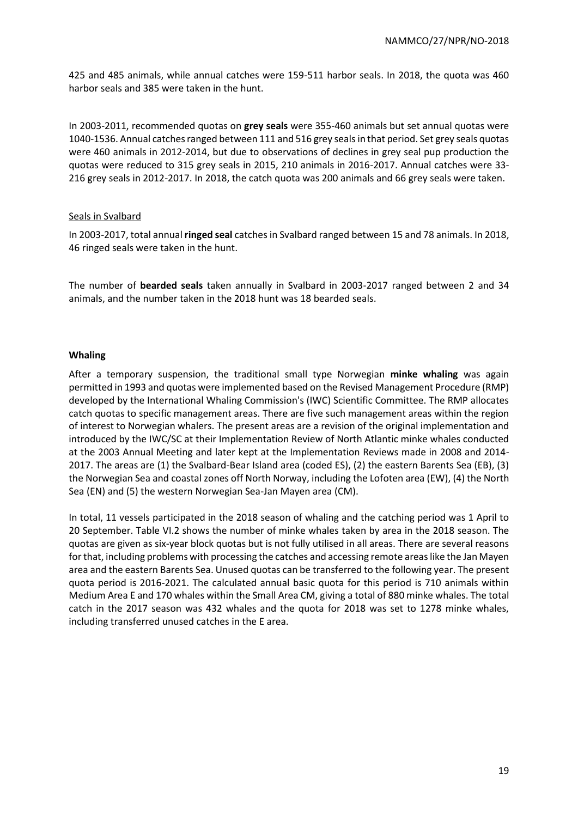425 and 485 animals, while annual catches were 159-511 harbor seals. In 2018, the quota was 460 harbor seals and 385 were taken in the hunt.

In 2003-2011, recommended quotas on **grey seals** were 355-460 animals but set annual quotas were 1040-1536. Annual catches ranged between 111 and 516 grey seals in that period. Set grey seals quotas were 460 animals in 2012-2014, but due to observations of declines in grey seal pup production the quotas were reduced to 315 grey seals in 2015, 210 animals in 2016-2017. Annual catches were 33- 216 grey seals in 2012-2017. In 2018, the catch quota was 200 animals and 66 grey seals were taken.

#### Seals in Svalbard

In 2003-2017, total annual **ringed seal** catches in Svalbard ranged between 15 and 78 animals. In 2018, 46 ringed seals were taken in the hunt.

The number of **bearded seals** taken annually in Svalbard in 2003-2017 ranged between 2 and 34 animals, and the number taken in the 2018 hunt was 18 bearded seals.

#### **Whaling**

After a temporary suspension, the traditional small type Norwegian **minke whaling** was again permitted in 1993 and quotas were implemented based on the Revised Management Procedure (RMP) developed by the International Whaling Commission's (IWC) Scientific Committee. The RMP allocates catch quotas to specific management areas. There are five such management areas within the region of interest to Norwegian whalers. The present areas are a revision of the original implementation and introduced by the IWC/SC at their Implementation Review of North Atlantic minke whales conducted at the 2003 Annual Meeting and later kept at the Implementation Reviews made in 2008 and 2014- 2017. The areas are (1) the Svalbard-Bear Island area (coded ES), (2) the eastern Barents Sea (EB), (3) the Norwegian Sea and coastal zones off North Norway, including the Lofoten area (EW), (4) the North Sea (EN) and (5) the western Norwegian Sea-Jan Mayen area (CM).

In total, 11 vessels participated in the 2018 season of whaling and the catching period was 1 April to 20 September. Table VI.2 shows the number of minke whales taken by area in the 2018 season. The quotas are given as six-year block quotas but is not fully utilised in all areas. There are several reasons for that, including problems with processing the catches and accessing remote areas like the Jan Mayen area and the eastern Barents Sea. Unused quotas can be transferred to the following year. The present quota period is 2016-2021. The calculated annual basic quota for this period is 710 animals within Medium Area E and 170 whales within the Small Area CM, giving a total of 880 minke whales. The total catch in the 2017 season was 432 whales and the quota for 2018 was set to 1278 minke whales, including transferred unused catches in the E area.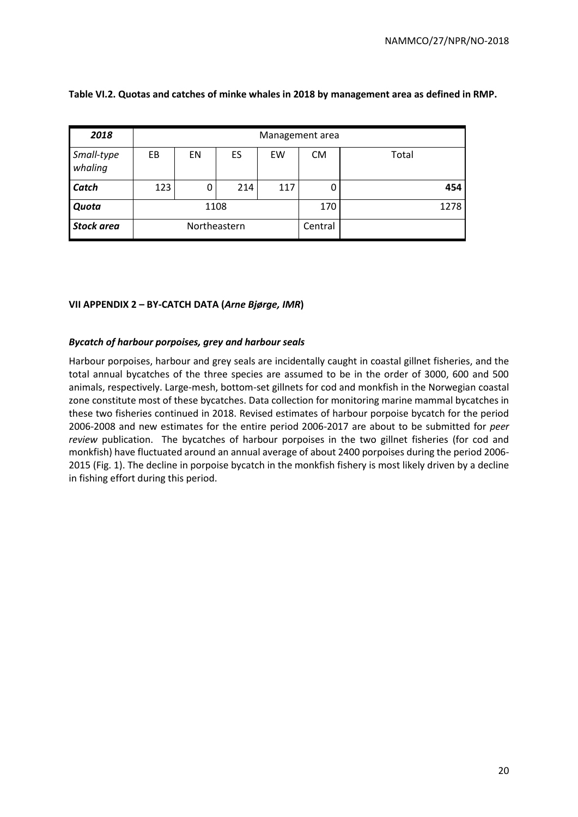| 2018                  | Management area |              |     |     |           |       |  |  |
|-----------------------|-----------------|--------------|-----|-----|-----------|-------|--|--|
| Small-type<br>whaling | EB              | EN           | ES  | EW  | <b>CM</b> | Total |  |  |
| Catch                 | 123             | 0            | 214 | 117 | 0         | 454   |  |  |
| Quota                 |                 | 1108         |     |     | 170       | 1278  |  |  |
| <b>Stock area</b>     |                 | Northeastern |     |     | Central   |       |  |  |

**Table VI.2. Quotas and catches of minke whales in 2018 by management area as defined in RMP.**

# **VII APPENDIX 2 – BY-CATCH DATA (***Arne Bjørge, IMR***)**

### *Bycatch of harbour porpoises, grey and harbour seals*

Harbour porpoises, harbour and grey seals are incidentally caught in coastal gillnet fisheries, and the total annual bycatches of the three species are assumed to be in the order of 3000, 600 and 500 animals, respectively. Large-mesh, bottom-set gillnets for cod and monkfish in the Norwegian coastal zone constitute most of these bycatches. Data collection for monitoring marine mammal bycatches in these two fisheries continued in 2018. Revised estimates of harbour porpoise bycatch for the period 2006-2008 and new estimates for the entire period 2006-2017 are about to be submitted for *peer review* publication. The bycatches of harbour porpoises in the two gillnet fisheries (for cod and monkfish) have fluctuated around an annual average of about 2400 porpoises during the period 2006- 2015 (Fig. 1). The decline in porpoise bycatch in the monkfish fishery is most likely driven by a decline in fishing effort during this period.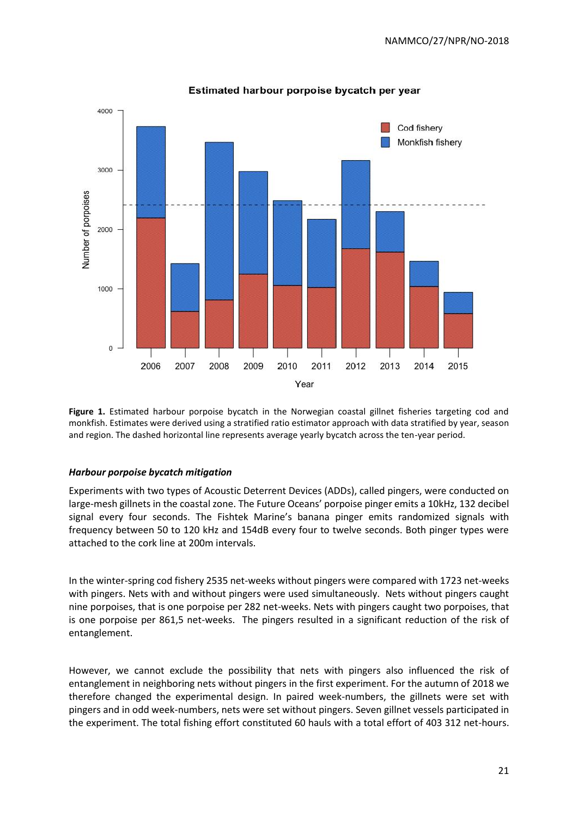

### Estimated harbour porpoise bycatch per year

Figure 1. Estimated harbour porpoise bycatch in the Norwegian coastal gillnet fisheries targeting cod and monkfish. Estimates were derived using a stratified ratio estimator approach with data stratified by year, season and region. The dashed horizontal line represents average yearly bycatch across the ten-year period.

### *Harbour porpoise bycatch mitigation*

Experiments with two types of Acoustic Deterrent Devices (ADDs), called pingers, were conducted on large-mesh gillnets in the coastal zone. The Future Oceans' porpoise pinger emits a 10kHz, 132 decibel signal every four seconds. The Fishtek Marine's banana pinger emits randomized signals with frequency between 50 to 120 kHz and 154dB every four to twelve seconds. Both pinger types were attached to the cork line at 200m intervals.

In the winter-spring cod fishery 2535 net-weeks without pingers were compared with 1723 net-weeks with pingers. Nets with and without pingers were used simultaneously. Nets without pingers caught nine porpoises, that is one porpoise per 282 net-weeks. Nets with pingers caught two porpoises, that is one porpoise per 861,5 net-weeks. The pingers resulted in a significant reduction of the risk of entanglement.

However, we cannot exclude the possibility that nets with pingers also influenced the risk of entanglement in neighboring nets without pingers in the first experiment. For the autumn of 2018 we therefore changed the experimental design. In paired week-numbers, the gillnets were set with pingers and in odd week-numbers, nets were set without pingers. Seven gillnet vessels participated in the experiment. The total fishing effort constituted 60 hauls with a total effort of 403 312 net-hours.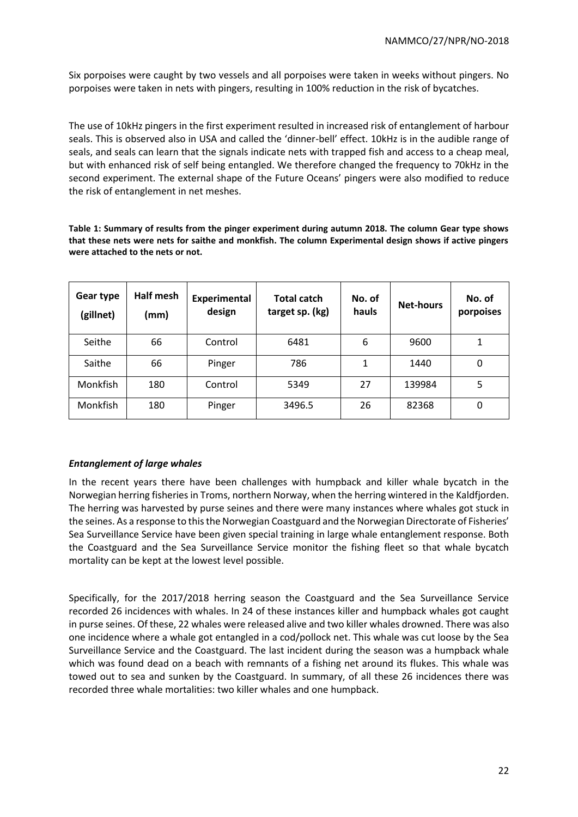Six porpoises were caught by two vessels and all porpoises were taken in weeks without pingers. No porpoises were taken in nets with pingers, resulting in 100% reduction in the risk of bycatches.

The use of 10kHz pingers in the first experiment resulted in increased risk of entanglement of harbour seals. This is observed also in USA and called the 'dinner-bell' effect. 10kHz is in the audible range of seals, and seals can learn that the signals indicate nets with trapped fish and access to a cheap meal, but with enhanced risk of self being entangled. We therefore changed the frequency to 70kHz in the second experiment. The external shape of the Future Oceans' pingers were also modified to reduce the risk of entanglement in net meshes.

**Table 1: Summary of results from the pinger experiment during autumn 2018. The column Gear type shows that these nets were nets for saithe and monkfish. The column Experimental design shows if active pingers were attached to the nets or not.** 

| Gear type<br>(gillnet) | Half mesh<br>(mm) | Experimental<br>design | <b>Total catch</b><br>target sp. (kg) | No. of<br>hauls | <b>Net-hours</b> | No. of<br>porpoises |
|------------------------|-------------------|------------------------|---------------------------------------|-----------------|------------------|---------------------|
| Seithe                 | 66                | Control                | 6481                                  | 6               | 9600             | 1                   |
| Saithe                 | 66                | Pinger                 | 786                                   | 1               | 1440             | 0                   |
| <b>Monkfish</b>        | 180               | Control                | 5349                                  | 27              | 139984           | 5                   |
| Monkfish               | 180               | Pinger                 | 3496.5                                | 26              | 82368            | 0                   |

# *Entanglement of large whales*

In the recent years there have been challenges with humpback and killer whale bycatch in the Norwegian herring fisheries in Troms, northern Norway, when the herring wintered in the Kaldfjorden. The herring was harvested by purse seines and there were many instances where whales got stuck in the seines. As a response to this the Norwegian Coastguard and the Norwegian Directorate of Fisheries' Sea Surveillance Service have been given special training in large whale entanglement response. Both the Coastguard and the Sea Surveillance Service monitor the fishing fleet so that whale bycatch mortality can be kept at the lowest level possible.

Specifically, for the 2017/2018 herring season the Coastguard and the Sea Surveillance Service recorded 26 incidences with whales. In 24 of these instances killer and humpback whales got caught in purse seines. Of these, 22 whales were released alive and two killer whales drowned. There was also one incidence where a whale got entangled in a cod/pollock net. This whale was cut loose by the Sea Surveillance Service and the Coastguard. The last incident during the season was a humpback whale which was found dead on a beach with remnants of a fishing net around its flukes. This whale was towed out to sea and sunken by the Coastguard. In summary, of all these 26 incidences there was recorded three whale mortalities: two killer whales and one humpback.